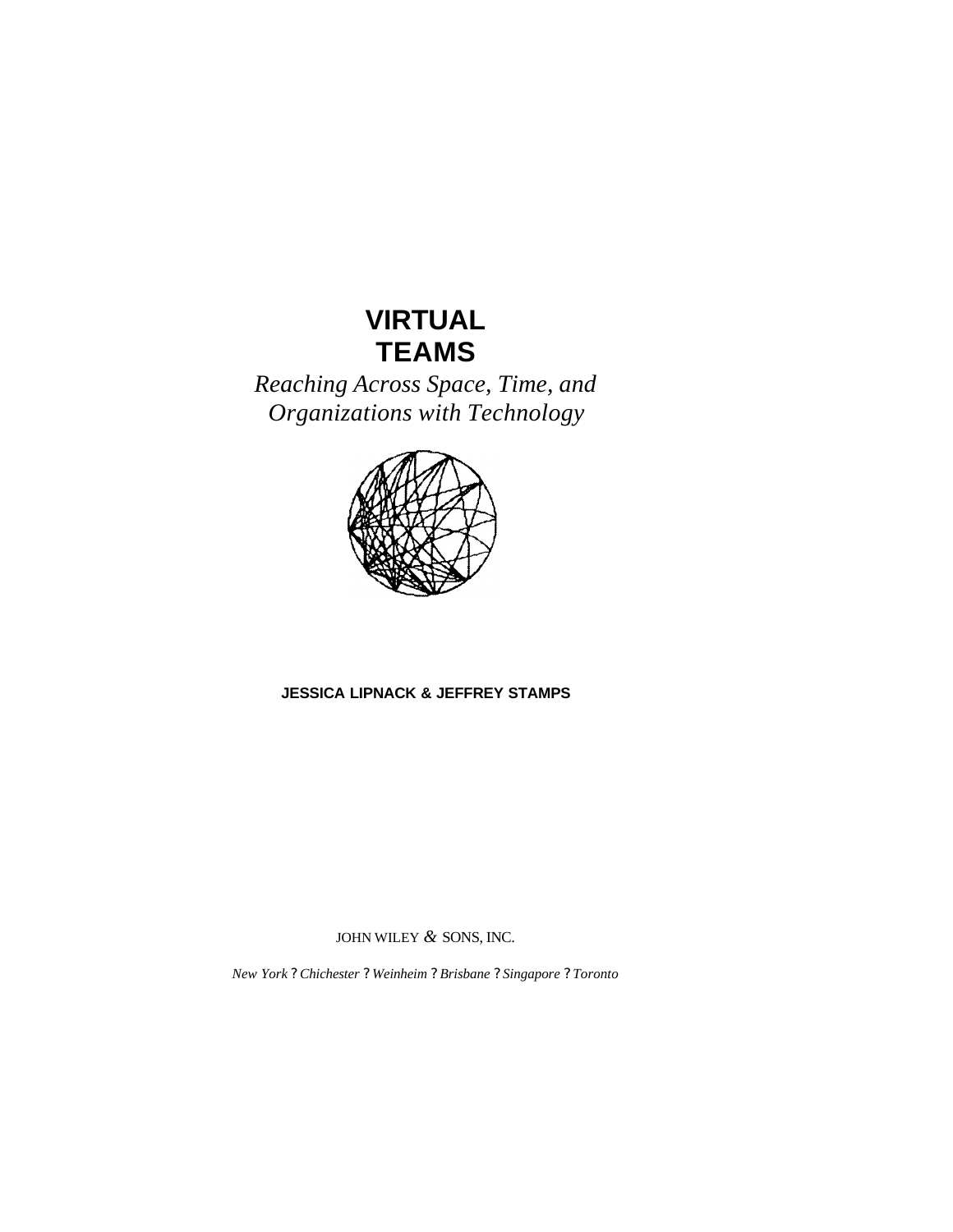# **VIRTUAL TEAMS**

*Reaching Across Space, Time, and Organizations with Technology*



## **JESSICA LIPNACK & JEFFREY STAMPS**

JOHN WILEY *&* SONS, INC.

*New York* ? *Chichester* ? *Weinheim* ? *Brisbane* ? *Singapore* ? *Toronto*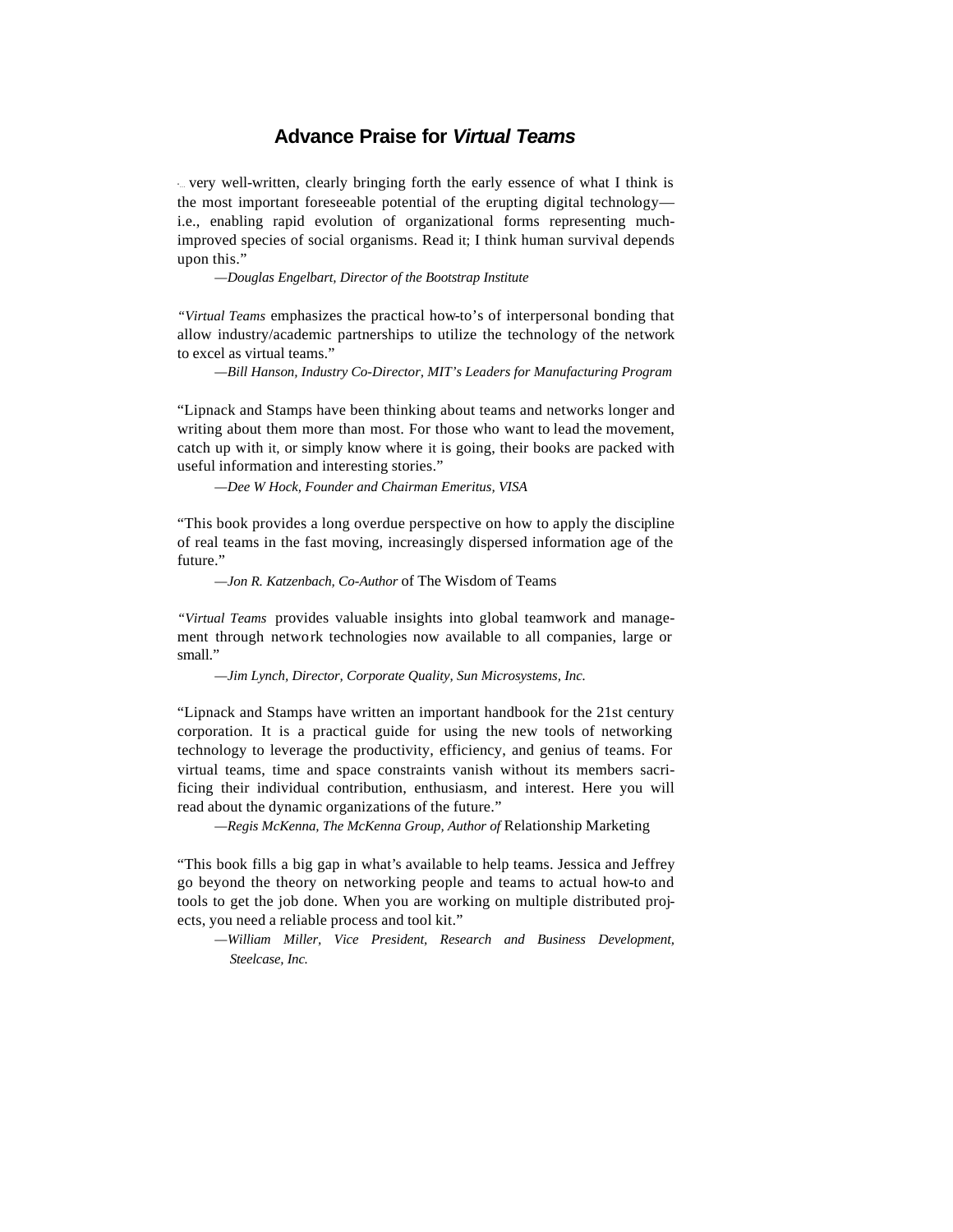### **Advance Praise for** *Virtual Teams*

 $\sim$  very well-written, clearly bringing forth the early essence of what I think is the most important foreseeable potential of the erupting digital technology i.e., enabling rapid evolution of organizational forms representing muchimproved species of social organisms. Read it; I think human survival depends upon this."

*—Douglas Engelbart, Director of the Bootstrap Institute*

*"Virtual Teams* emphasizes the practical how-to's of interpersonal bonding that allow industry/academic partnerships to utilize the technology of the network to excel as virtual teams."

*—Bill Hanson, Industry Co-Director, MIT's Leaders for Manufacturing Program*

"Lipnack and Stamps have been thinking about teams and networks longer and writing about them more than most. For those who want to lead the movement, catch up with it, or simply know where it is going, their books are packed with useful information and interesting stories."

*—Dee W Hock, Founder and Chairman Emeritus, VISA*

"This book provides a long overdue perspective on how to apply the discipline of real teams in the fast moving, increasingly dispersed information age of the future."

*—Jon R. Katzenbach, Co-Author* of The Wisdom of Teams

*"Virtual Teams* provides valuable insights into global teamwork and management through network technologies now available to all companies, large or small."

*—Jim Lynch, Director, Corporate Quality, Sun Microsystems, Inc.*

"Lipnack and Stamps have written an important handbook for the 21st century corporation. It is a practical guide for using the new tools of networking technology to leverage the productivity, efficiency, and genius of teams. For virtual teams, time and space constraints vanish without its members sacrificing their individual contribution, enthusiasm, and interest. Here you will read about the dynamic organizations of the future."

*—Regis McKenna, The McKenna Group, Author of* Relationship Marketing

"This book fills a big gap in what's available to help teams. Jessica and Jeffrey go beyond the theory on networking people and teams to actual how-to and tools to get the job done. When you are working on multiple distributed projects, you need a reliable process and tool kit."

*—William Miller, Vice President, Research and Business Development, Steelcase, Inc.*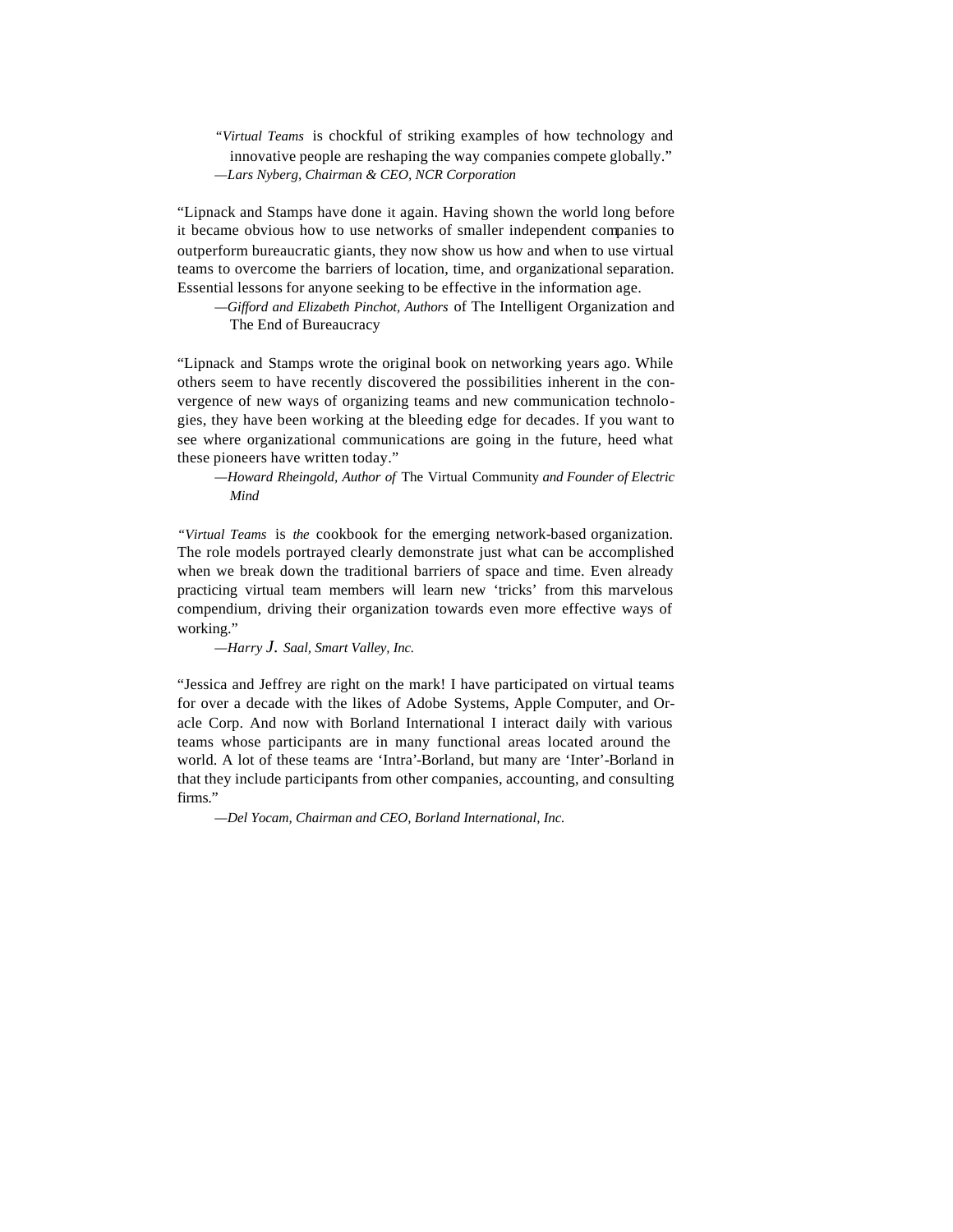*"Virtual Teams* is chockful of striking examples of how technology and innovative people are reshaping the way companies compete globally." *—Lars Nyberg, Chairman & CEO, NCR Corporation*

"Lipnack and Stamps have done it again. Having shown the world long before it became obvious how to use networks of smaller independent companies to outperform bureaucratic giants, they now show us how and when to use virtual teams to overcome the barriers of location, time, and organizational separation. Essential lessons for anyone seeking to be effective in the information age.

*—Gifford and Elizabeth Pinchot, Authors* of The Intelligent Organization and The End of Bureaucracy

"Lipnack and Stamps wrote the original book on networking years ago. While others seem to have recently discovered the possibilities inherent in the convergence of new ways of organizing teams and new communication technologies, they have been working at the bleeding edge for decades. If you want to see where organizational communications are going in the future, heed what these pioneers have written today."

*—Howard Rheingold, Author of* The Virtual Community *and Founder of Electric Mind*

*"Virtual Teams* is *the* cookbook for the emerging network-based organization. The role models portrayed clearly demonstrate just what can be accomplished when we break down the traditional barriers of space and time. Even already practicing virtual team members will learn new 'tricks' from this marvelous compendium, driving their organization towards even more effective ways of working."

*—Harry J. Saal, Smart Valley, Inc.*

"Jessica and Jeffrey are right on the mark! I have participated on virtual teams for over a decade with the likes of Adobe Systems, Apple Computer, and Oracle Corp. And now with Borland International I interact daily with various teams whose participants are in many functional areas located around the world. A lot of these teams are 'Intra'-Borland, but many are 'Inter'-Borland in that they include participants from other companies, accounting, and consulting firms."

*—Del Yocam, Chairman and CEO, Borland International, Inc.*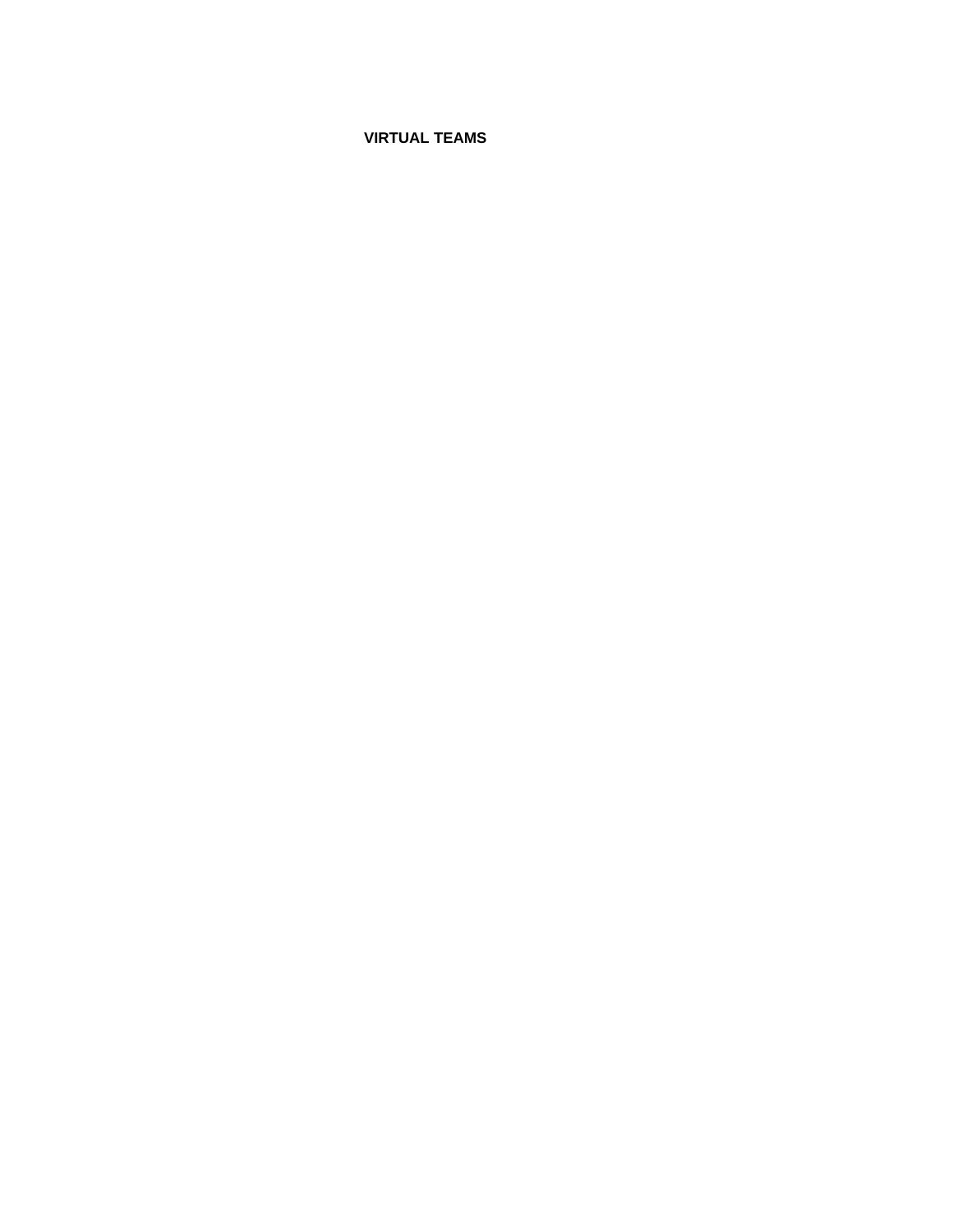#### **VIRTUAL TEAMS**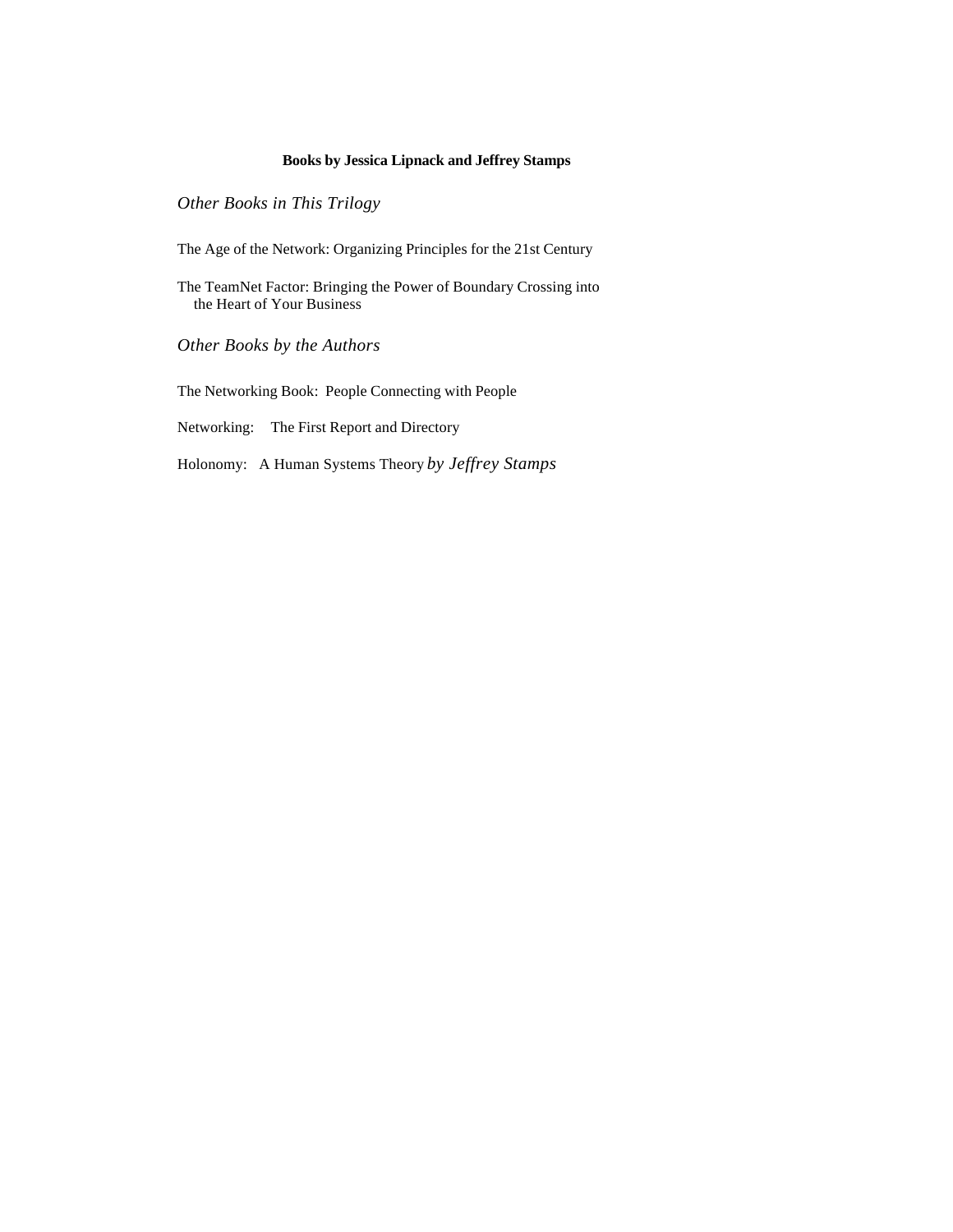#### **Books by Jessica Lipnack and Jeffrey Stamps**

*Other Books in This Trilogy*

The Age of the Network: Organizing Principles for the 21st Century

The TeamNet Factor: Bringing the Power of Boundary Crossing into the Heart of Your Business

*Other Books by the Authors*

The Networking Book: People Connecting with People

Networking: The First Report and Directory

Holonomy: A Human Systems Theory *by Jeffrey Stamps*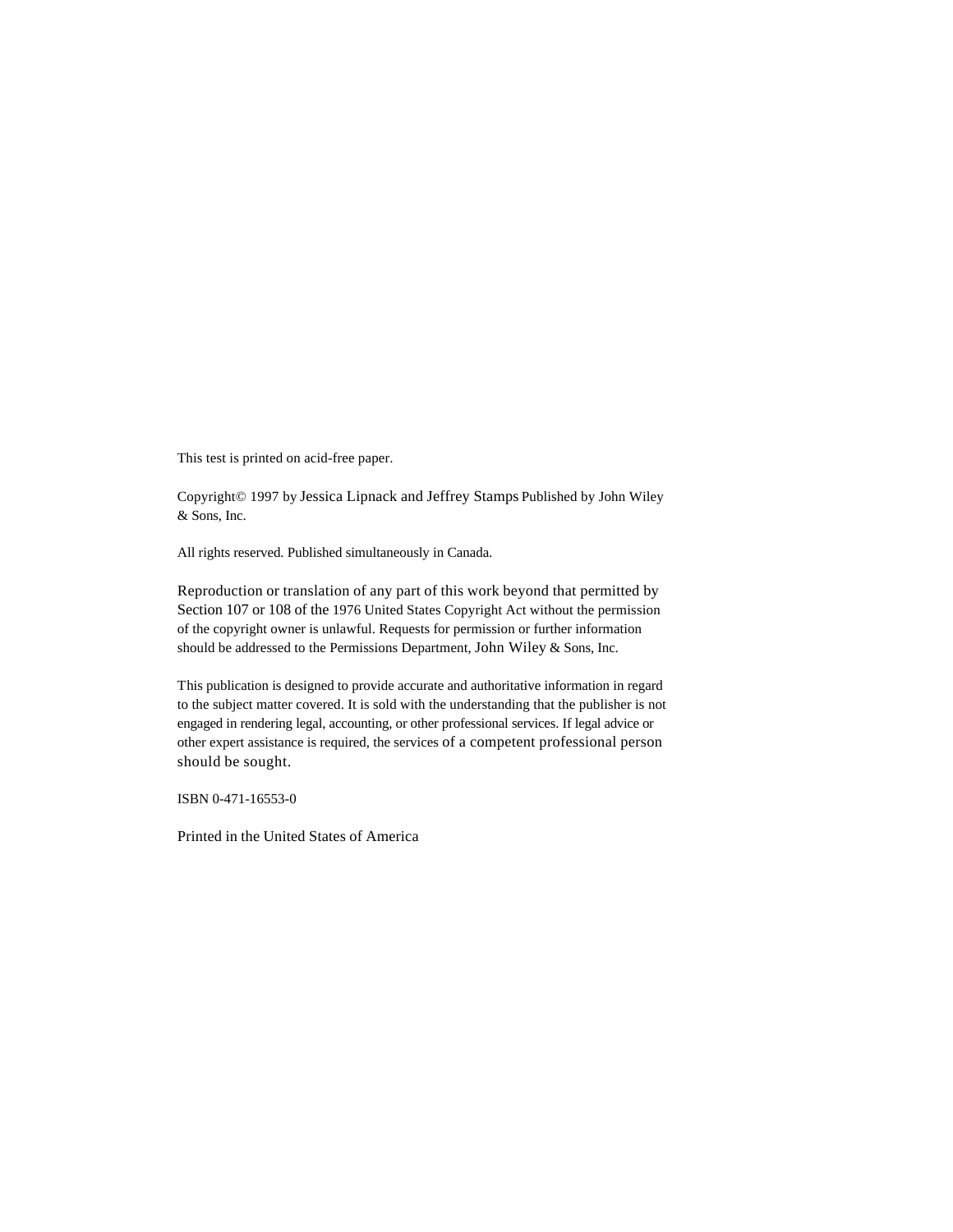This test is printed on acid-free paper.

Copyright© 1997 by Jessica Lipnack and Jeffrey Stamps Published by John Wiley & Sons, Inc.

All rights reserved. Published simultaneously in Canada.

Reproduction or translation of any part of this work beyond that permitted by Section 107 or 108 of the 1976 United States Copyright Act without the permission of the copyright owner is unlawful. Requests for permission or further information should be addressed to the Permissions Department, John Wiley & Sons, Inc.

This publication is designed to provide accurate and authoritative information in regard to the subject matter covered. It is sold with the understanding that the publisher is not engaged in rendering legal, accounting, or other professional services. If legal advice or other expert assistance is required, the services of a competent professional person should be sought.

ISBN 0-471-16553-0

Printed in the United States of America